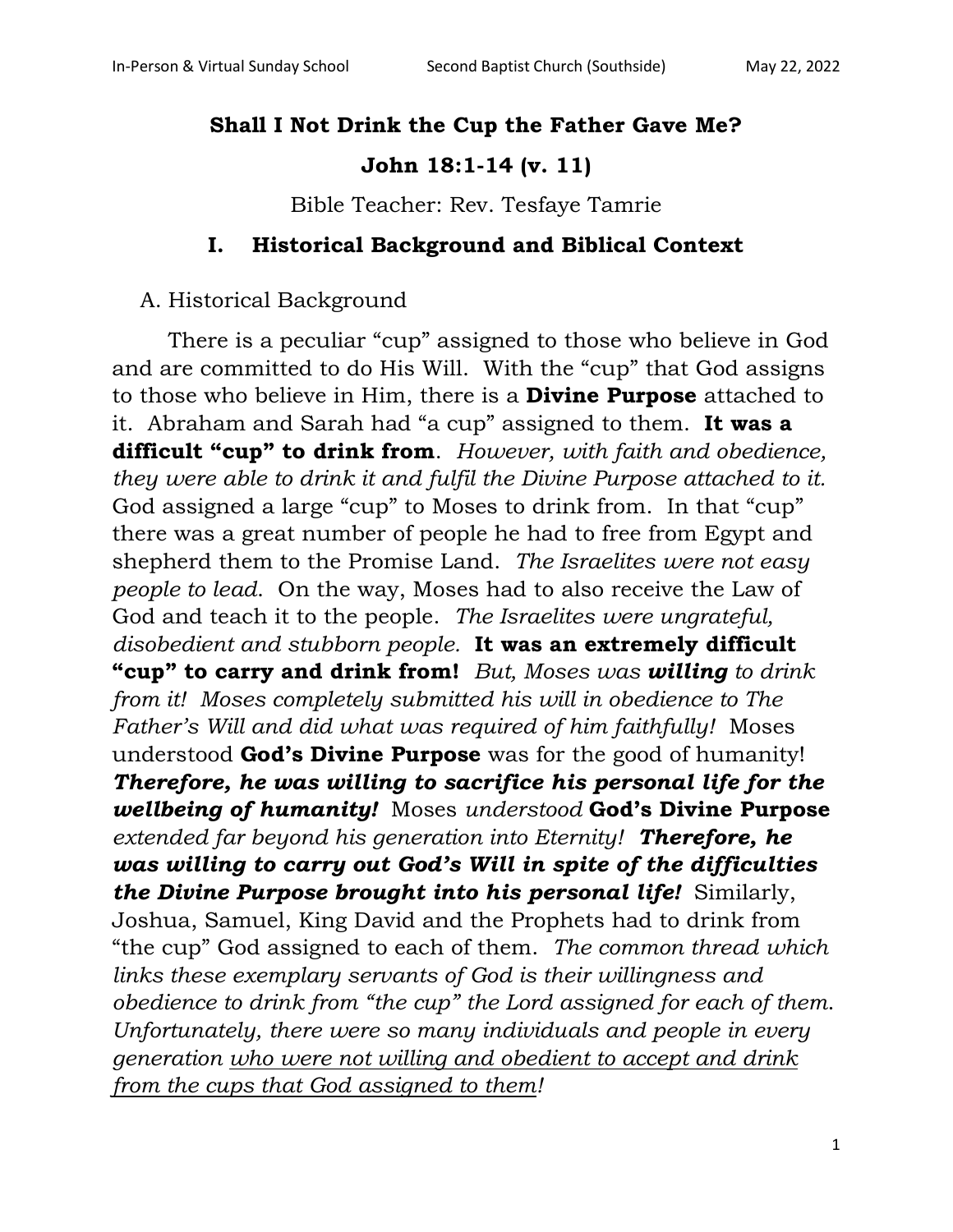# **Shall I Not Drink the Cup the Father Gave Me?**

# **John 18:1-14 (v. 11)**

Bible Teacher: Rev. Tesfaye Tamrie

#### **I. Historical Background and Biblical Context**

#### A. Historical Background

There is a peculiar "cup" assigned to those who believe in God and are committed to do His Will. With the "cup" that God assigns to those who believe in Him, there is a **Divine Purpose** attached to it. Abraham and Sarah had "a cup" assigned to them. **It was a difficult "cup" to drink from**. *However, with faith and obedience, they were able to drink it and fulfil the Divine Purpose attached to it.* God assigned a large "cup" to Moses to drink from. In that "cup" there was a great number of people he had to free from Egypt and shepherd them to the Promise Land. *The Israelites were not easy people to lead*. On the way, Moses had to also receive the Law of God and teach it to the people. *The Israelites were ungrateful, disobedient and stubborn people.* **It was an extremely difficult "cup" to carry and drink from!** *But, Moses was willing to drink from it! Moses completely submitted his will in obedience to The Father's Will and did what was required of him faithfully!* Moses understood **God's Divine Purpose** was for the good of humanity! *Therefore, he was willing to sacrifice his personal life for the wellbeing of humanity!* Moses *understood* **God's Divine Purpose** *extended far beyond his generation into Eternity! Therefore, he was willing to carry out God's Will in spite of the difficulties the Divine Purpose brought into his personal life!* Similarly, Joshua, Samuel, King David and the Prophets had to drink from "the cup" God assigned to each of them. *The common thread which links these exemplary servants of God is their willingness and obedience to drink from "the cup" the Lord assigned for each of them*. *Unfortunately, there were so many individuals and people in every generation who were not willing and obedient to accept and drink from the cups that God assigned to them!*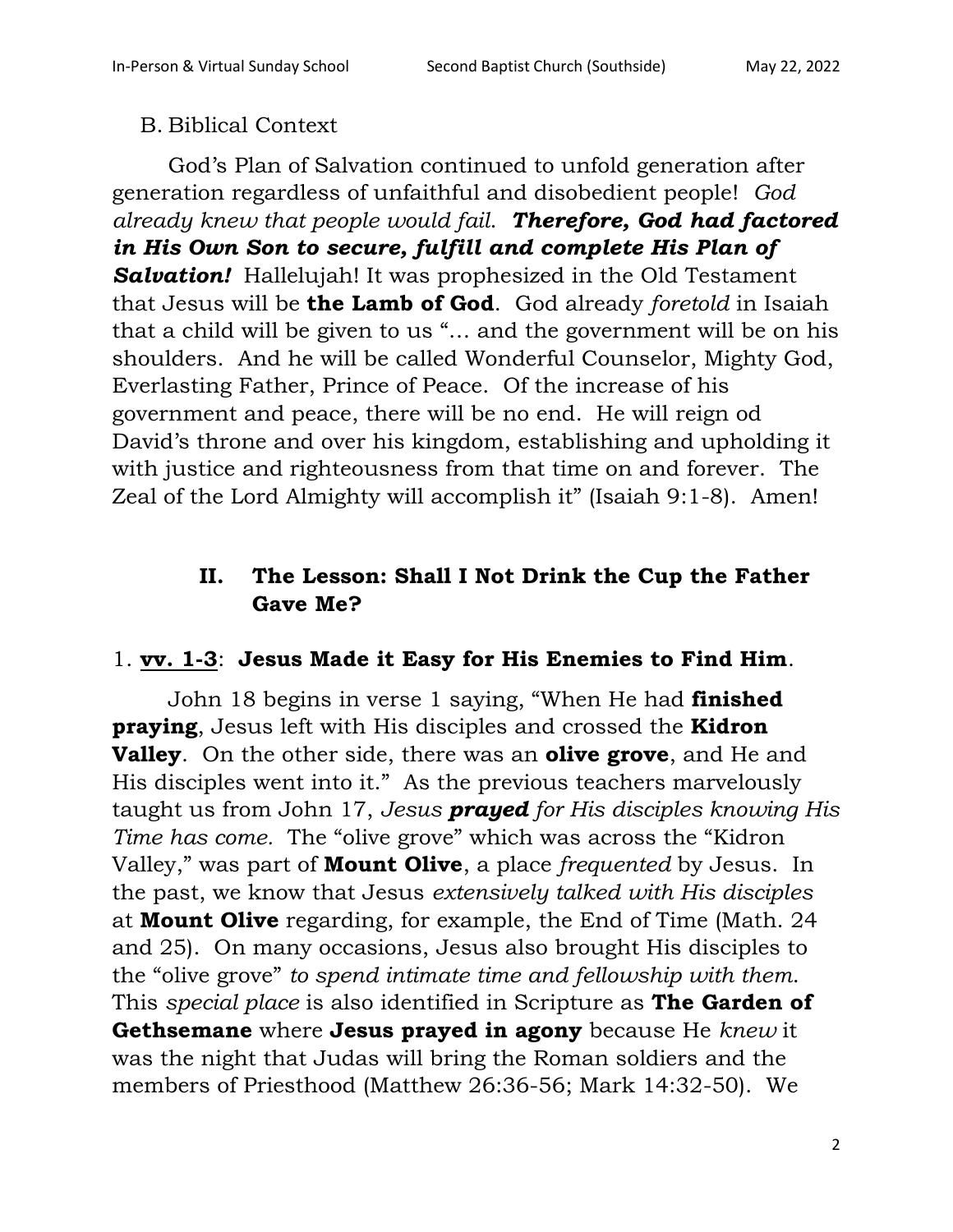## B. Biblical Context

God's Plan of Salvation continued to unfold generation after generation regardless of unfaithful and disobedient people! *God already knew that people would fail*. *Therefore, God had factored in His Own Son to secure, fulfill and complete His Plan of Salvation!* Hallelujah! It was prophesized in the Old Testament that Jesus will be **the Lamb of God**. God already *foretold* in Isaiah that a child will be given to us "… and the government will be on his shoulders. And he will be called Wonderful Counselor, Mighty God, Everlasting Father, Prince of Peace. Of the increase of his government and peace, there will be no end. He will reign od David's throne and over his kingdom, establishing and upholding it with justice and righteousness from that time on and forever. The Zeal of the Lord Almighty will accomplish it" (Isaiah 9:1-8). Amen!

# **II. The Lesson: Shall I Not Drink the Cup the Father Gave Me?**

#### 1. **vv. 1-3**: **Jesus Made it Easy for His Enemies to Find Him**.

John 18 begins in verse 1 saying, "When He had **finished praying**, Jesus left with His disciples and crossed the **Kidron Valley**. On the other side, there was an **olive grove**, and He and His disciples went into it." As the previous teachers marvelously taught us from John 17, *Jesus prayed for His disciples knowing His Time has come.* The "olive grove" which was across the "Kidron Valley," was part of **Mount Olive**, a place *frequented* by Jesus. In the past, we know that Jesus *extensively talked with His disciples* at **Mount Olive** regarding, for example, the End of Time (Math. 24 and 25). On many occasions, Jesus also brought His disciples to the "olive grove" *to spend intimate time and fellowship with them*. This *special place* is also identified in Scripture as **The Garden of Gethsemane** where **Jesus prayed in agony** because He *knew* it was the night that Judas will bring the Roman soldiers and the members of Priesthood (Matthew 26:36-56; Mark 14:32-50). We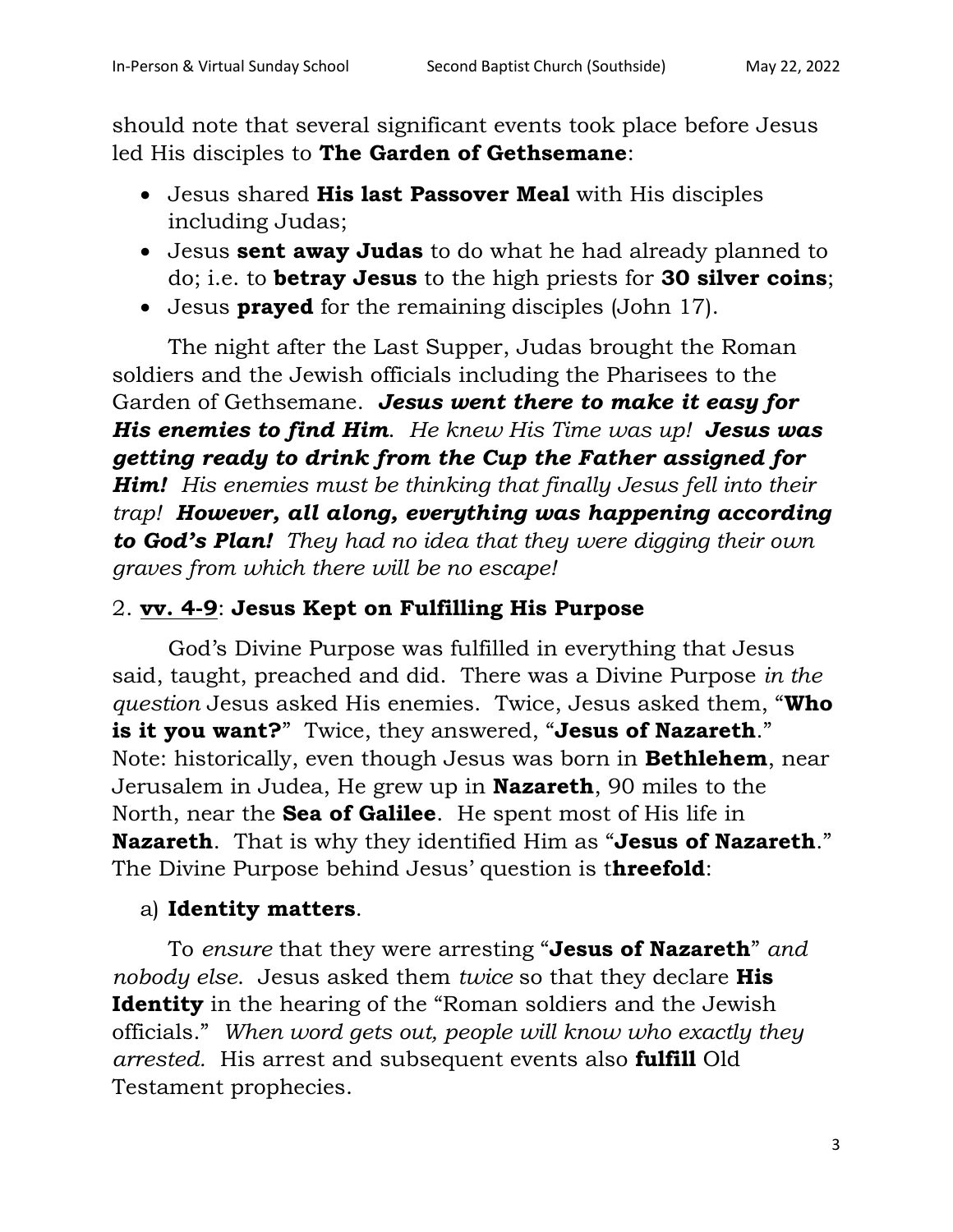should note that several significant events took place before Jesus led His disciples to **The Garden of Gethsemane**:

- Jesus shared **His last Passover Meal** with His disciples including Judas;
- Jesus **sent away Judas** to do what he had already planned to do; i.e. to **betray Jesus** to the high priests for **30 silver coins**;
- Jesus **prayed** for the remaining disciples (John 17).

The night after the Last Supper, Judas brought the Roman soldiers and the Jewish officials including the Pharisees to the Garden of Gethsemane. *Jesus went there to make it easy for His enemies to find Him*. *He knew His Time was up! Jesus was getting ready to drink from the Cup the Father assigned for Him! His enemies must be thinking that finally Jesus fell into their trap! However, all along, everything was happening according to God's Plan! They had no idea that they were digging their own graves from which there will be no escape!*

# 2. **vv. 4-9**: **Jesus Kept on Fulfilling His Purpose**

God's Divine Purpose was fulfilled in everything that Jesus said, taught, preached and did. There was a Divine Purpose *in the question* Jesus asked His enemies. Twice, Jesus asked them, "**Who is it you want?**" Twice, they answered, "**Jesus of Nazareth**." Note: historically, even though Jesus was born in **Bethlehem**, near Jerusalem in Judea, He grew up in **Nazareth**, 90 miles to the North, near the **Sea of Galilee**. He spent most of His life in **Nazareth**. That is why they identified Him as "**Jesus of Nazareth**." The Divine Purpose behind Jesus' question is t**hreefold**:

# a) **Identity matters**.

To *ensure* that they were arresting "**Jesus of Nazareth**" *and nobody else*. Jesus asked them *twice* so that they declare **His Identity** in the hearing of the "Roman soldiers and the Jewish officials." *When word gets out, people will know who exactly they arrested.* His arrest and subsequent events also **fulfill** Old Testament prophecies.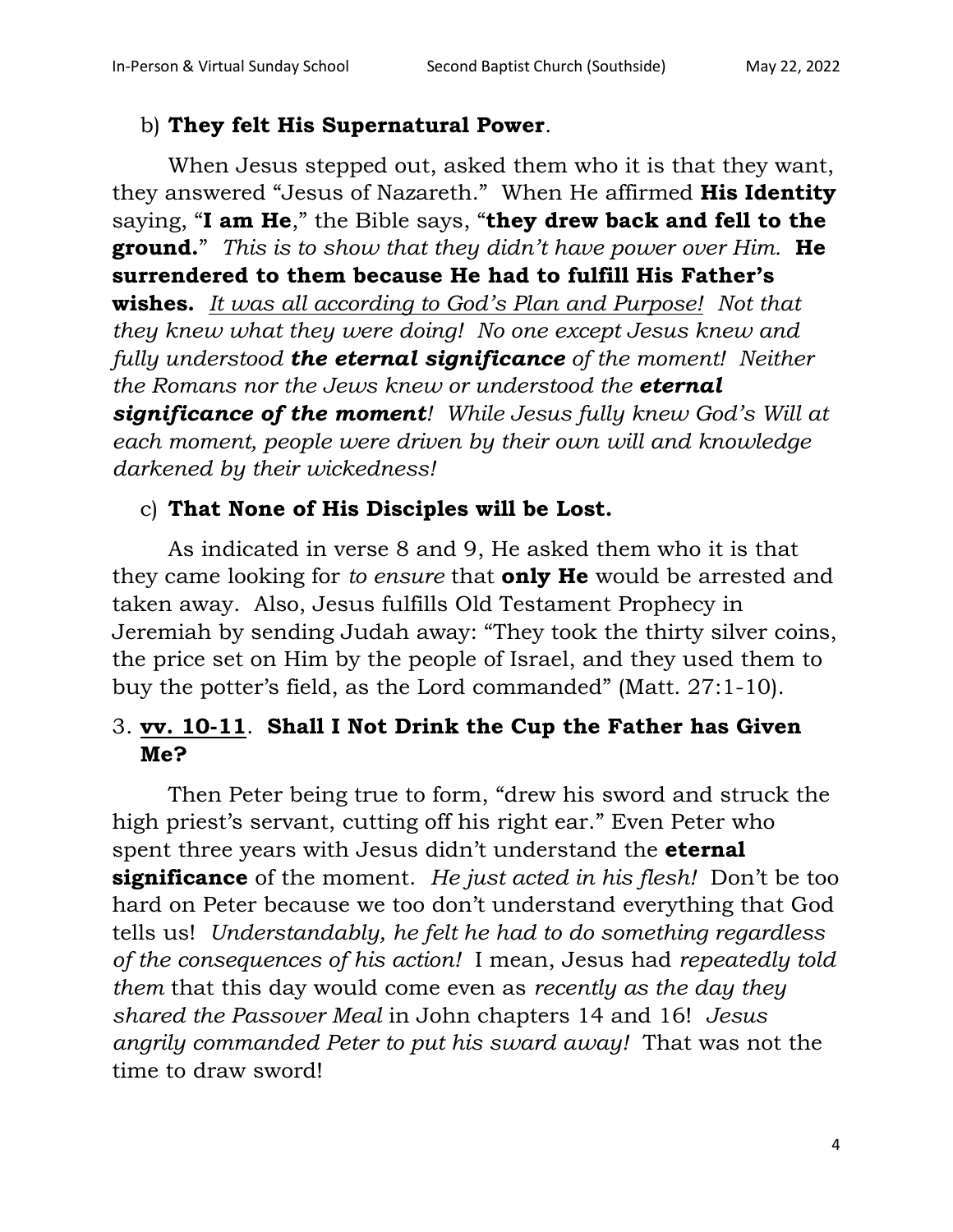#### b) **They felt His Supernatural Power**.

When Jesus stepped out, asked them who it is that they want, they answered "Jesus of Nazareth." When He affirmed **His Identity** saying, "**I am He**," the Bible says, "**they drew back and fell to the ground.**" *This is to show that they didn't have power over Him.* **He surrendered to them because He had to fulfill His Father's wishes.** *It was all according to God's Plan and Purpose! Not that they knew what they were doing! No one except Jesus knew and fully understood the eternal significance of the moment! Neither the Romans nor the Jews knew or understood the eternal significance of the moment! While Jesus fully knew God's Will at each moment, people were driven by their own will and knowledge darkened by their wickedness!*

## c) **That None of His Disciples will be Lost.**

As indicated in verse 8 and 9, He asked them who it is that they came looking for *to ensure* that **only He** would be arrested and taken away. Also, Jesus fulfills Old Testament Prophecy in Jeremiah by sending Judah away: "They took the thirty silver coins, the price set on Him by the people of Israel, and they used them to buy the potter's field, as the Lord commanded" (Matt. 27:1-10).

# 3. **vv. 10-11**. **Shall I Not Drink the Cup the Father has Given Me?**

Then Peter being true to form, "drew his sword and struck the high priest's servant, cutting off his right ear." Even Peter who spent three years with Jesus didn't understand the **eternal significance** of the moment. *He just acted in his flesh!* Don't be too hard on Peter because we too don't understand everything that God tells us! *Understandably, he felt he had to do something regardless of the consequences of his action!* I mean, Jesus had *repeatedly told them* that this day would come even as *recently as the day they shared the Passover Meal* in John chapters 14 and 16! *Jesus angrily commanded Peter to put his sward away!* That was not the time to draw sword!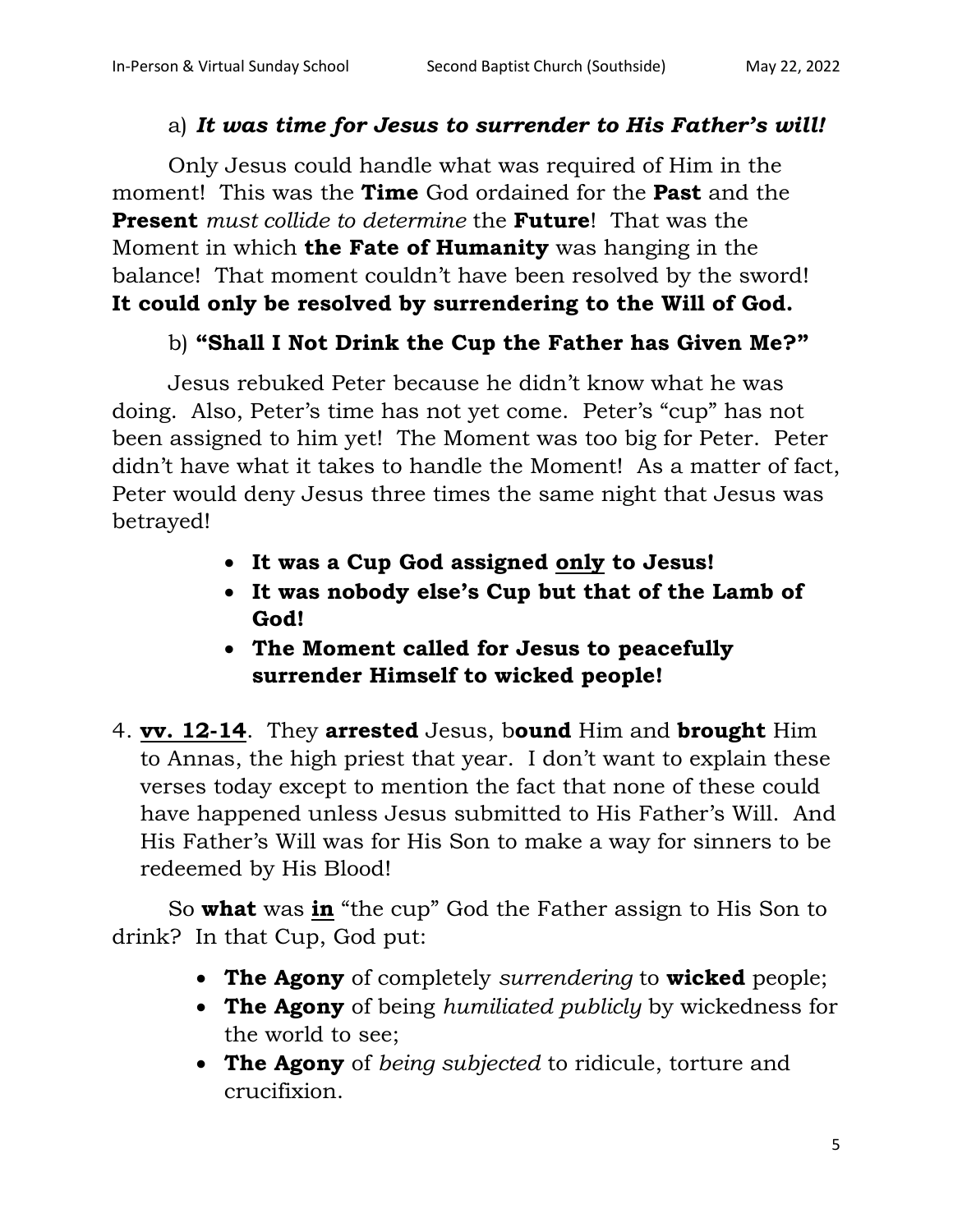#### a) *It was time for Jesus to surrender to His Father's will!*

Only Jesus could handle what was required of Him in the moment! This was the **Time** God ordained for the **Past** and the **Present** *must collide to determine* the **Future**! That was the Moment in which **the Fate of Humanity** was hanging in the balance! That moment couldn't have been resolved by the sword! **It could only be resolved by surrendering to the Will of God.** 

#### b) **"Shall I Not Drink the Cup the Father has Given Me?"**

Jesus rebuked Peter because he didn't know what he was doing. Also, Peter's time has not yet come. Peter's "cup" has not been assigned to him yet! The Moment was too big for Peter. Peter didn't have what it takes to handle the Moment! As a matter of fact, Peter would deny Jesus three times the same night that Jesus was betrayed!

- **It was a Cup God assigned only to Jesus!**
- **It was nobody else's Cup but that of the Lamb of God!**
- **The Moment called for Jesus to peacefully surrender Himself to wicked people!**
- 4. **vv. 12-14**. They **arrested** Jesus, b**ound** Him and **brought** Him to Annas, the high priest that year. I don't want to explain these verses today except to mention the fact that none of these could have happened unless Jesus submitted to His Father's Will. And His Father's Will was for His Son to make a way for sinners to be redeemed by His Blood!

So **what** was **in** "the cup" God the Father assign to His Son to drink? In that Cup, God put:

- **The Agony** of completely *surrendering* to **wicked** people;
- **The Agony** of being *humiliated publicly* by wickedness for the world to see;
- **The Agony** of *being subjected* to ridicule, torture and crucifixion.